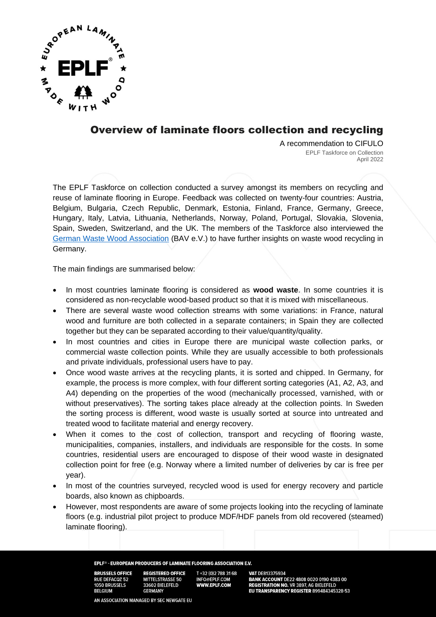

## Overview of laminate floors collection and recycling

A recommendation to CIFULO EPLF Taskforce on Collection April 2022

The EPLF Taskforce on collection conducted a survey amongst its members on recycling and reuse of laminate flooring in Europe. Feedback was collected on twenty-four countries: Austria, Belgium, Bulgaria, Czech Republic, Denmark, Estonia, Finland, France, Germany, Greece, Hungary, Italy, Latvia, Lithuania, Netherlands, Norway, Poland, Portugal, Slovakia, Slovenia, Spain, Sweden, Switzerland, and the UK. The members of the Taskforce also interviewed the [German Waste Wood Association](https://altholzverband.de/?lang=en) (BAV e.V.) to have further insights on waste wood recycling in Germany.

The main findings are summarised below:

- In most countries laminate flooring is considered as **wood waste**. In some countries it is considered as non-recyclable wood-based product so that it is mixed with miscellaneous.
- There are several waste wood collection streams with some variations: in France, natural wood and furniture are both collected in a separate containers; in Spain they are collected together but they can be separated according to their value/quantity/quality.
- In most countries and cities in Europe there are municipal waste collection parks, or commercial waste collection points. While they are usually accessible to both professionals and private individuals, professional users have to pay.
- Once wood waste arrives at the recycling plants, it is sorted and chipped. In Germany, for example, the process is more complex, with four different sorting categories (A1, A2, A3, and A4) depending on the properties of the wood (mechanically processed, varnished, with or without preservatives). The sorting takes place already at the collection points. In Sweden the sorting process is different, wood waste is usually sorted at source into untreated and treated wood to facilitate material and energy recovery.
- When it comes to the cost of collection, transport and recycling of flooring waste, municipalities, companies, installers, and individuals are responsible for the costs. In some countries, residential users are encouraged to dispose of their wood waste in designated collection point for free (e.g. Norway where a limited number of deliveries by car is free per year).
- In most of the countries surveyed, recycled wood is used for energy recovery and particle boards, also known as chipboards.
- However, most respondents are aware of some projects looking into the recycling of laminate floors (e.g. industrial pilot project to produce MDF/HDF panels from old recovered (steamed) laminate flooring).

EPLF® - EUROPEAN PRODUCERS OF LAMINATE FLOORING ASSOCIATION E.V.

**BRUSSELS OFFICE RUE DEFACQZ 52 1050 BRUSSELS BELGIUM** 

**REGISTERED OFFICE MITTELSTRASSE 50** 33602 BIELEFELD **GERMANY** 

T+32 (0)2 788 31 68 INFO@EPLF.COM<br>**WWW.EPLF.COM** 

VAT DE813375934 **BANK ACCOUNT** DE22 4808 0020 0190 4383 00<br>REGISTRATION NO. VR 3897, AG BIELEFELD<br>EU TRANSPARENCY REGISTER 899484345328-53

AN ASSOCIATION MANAGED BY SEC NEWGATE EU